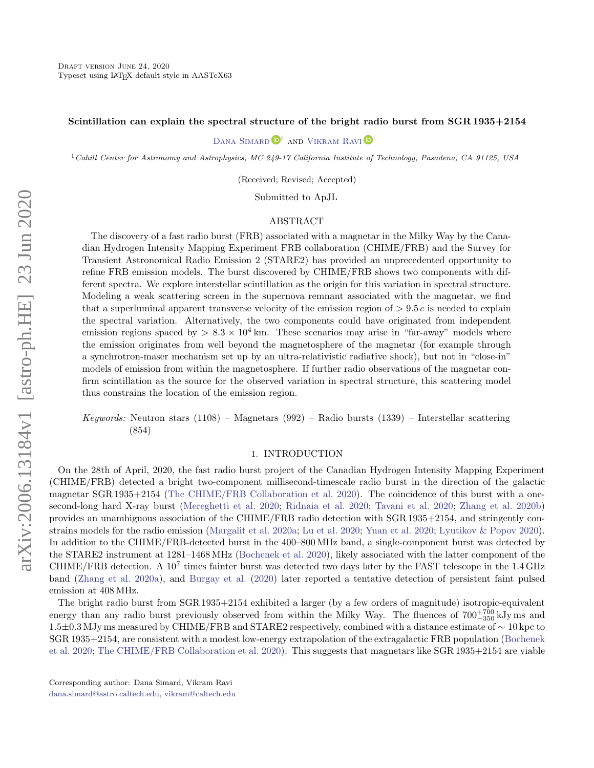### Scintillation can explain the spectral structure of the bright radio burst from SGR 1935+2154

### DANA SIMARD  $\mathbb{D}^1$  and VIKRAM RAVI  $\mathbb{D}^1$

<sup>1</sup>Cahill Center for Astronomy and Astrophysics, MC 249-17 California Institute of Technology, Pasadena, CA 91125, USA

(Received; Revised; Accepted)

Submitted to ApJL

### ABSTRACT

The discovery of a fast radio burst (FRB) associated with a magnetar in the Milky Way by the Canadian Hydrogen Intensity Mapping Experiment FRB collaboration (CHIME/FRB) and the Survey for Transient Astronomical Radio Emission 2 (STARE2) has provided an unprecedented opportunity to refine FRB emission models. The burst discovered by CHIME/FRB shows two components with different spectra. We explore interstellar scintillation as the origin for this variation in spectral structure. Modeling a weak scattering screen in the supernova remnant associated with the magnetar, we find that a superluminal apparent transverse velocity of the emission region of  $> 9.5 c$  is needed to explain the spectral variation. Alternatively, the two components could have originated from independent emission regions spaced by  $> 8.3 \times 10^4$  km. These scenarios may arise in "far-away" models where the emission originates from well beyond the magnetosphere of the magnetar (for example through a synchrotron-maser mechanism set up by an ultra-relativistic radiative shock), but not in "close-in" models of emission from within the magnetosphere. If further radio observations of the magnetar confirm scintillation as the source for the observed variation in spectral structure, this scattering model thus constrains the location of the emission region.

Keywords: Neutron stars  $(1108)$  – Magnetars  $(992)$  – Radio bursts  $(1339)$  – Interstellar scattering (854)

### 1. INTRODUCTION

On the 28th of April, 2020, the fast radio burst project of the Canadian Hydrogen Intensity Mapping Experiment (CHIME/FRB) detected a bright two-component millisecond-timescale radio burst in the direction of the galactic magnetar SGR 1935+2154 [\(The CHIME/FRB Collaboration et al.](#page-11-0) [2020\)](#page-11-0). The coincidence of this burst with a onesecond-long hard X-ray burst [\(Mereghetti et al.](#page-11-1) [2020;](#page-11-1) [Ridnaia et al.](#page-11-2) [2020;](#page-11-2) [Tavani et al.](#page-11-3) [2020;](#page-11-3) [Zhang et al.](#page-11-4) [2020b\)](#page-11-4) provides an unambiguous association of the CHIME/FRB radio detection with SGR 1935+2154, and stringently constrains models for the radio emission [\(Margalit et al.](#page-11-5) [2020a;](#page-11-5) [Lu et al.](#page-10-0) [2020;](#page-10-0) [Yuan et al.](#page-11-6) [2020;](#page-11-6) [Lyutikov & Popov](#page-10-1) [2020\)](#page-10-1). In addition to the CHIME/FRB-detected burst in the 400–800 MHz band, a single-component burst was detected by the STARE2 instrument at 1281–1468 MHz [\(Bochenek et al.](#page-10-2) [2020\)](#page-10-2), likely associated with the latter component of the CHIME/FRB detection. A  $10^7$  times fainter burst was detected two days later by the FAST telescope in the 1.4 GHz band [\(Zhang et al.](#page-11-7) [2020a\)](#page-11-7), and [Burgay et al.](#page-10-3) [\(2020\)](#page-10-3) later reported a tentative detection of persistent faint pulsed emission at 408 MHz.

The bright radio burst from SGR 1935+2154 exhibited a larger (by a few orders of magnitude) isotropic-equivalent energy than any radio burst previously observed from within the Milky Way. The fluences of  $700^{+700}_{-350}$  kJy ms and 1.5±0.3 MJy ms measured by CHIME/FRB and STARE2 respectively, combined with a distance estimate of ∼ 10 kpc to SGR 1935+2154, are consistent with a modest low-energy extrapolation of the extragalactic FRB population [\(Bochenek](#page-10-2) [et al.](#page-10-2) [2020;](#page-10-2) [The CHIME/FRB Collaboration et al.](#page-11-0) [2020\)](#page-11-0). This suggests that magnetars like SGR 1935+2154 are viable

[dana.simard@astro.caltech.edu, vikram@caltech.edu](mailto: dana.simard@astro.caltech.edu, vikram@caltech.edu)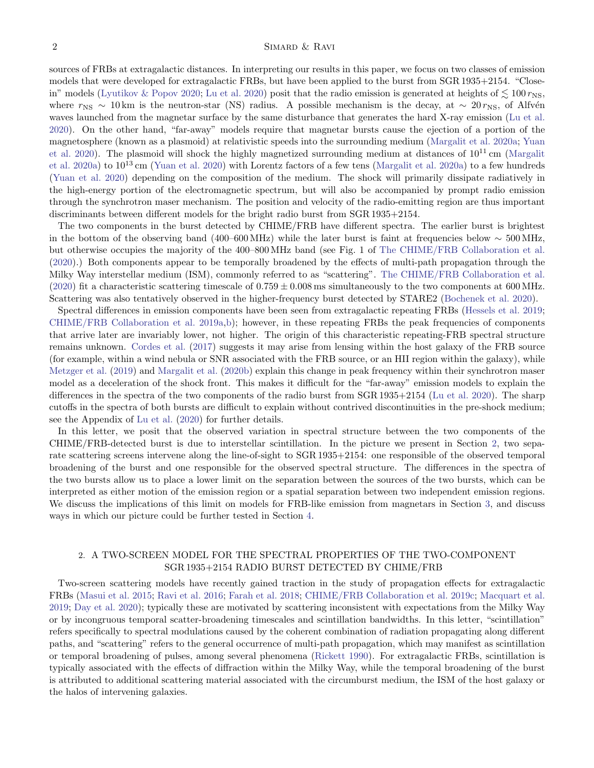sources of FRBs at extragalactic distances. In interpreting our results in this paper, we focus on two classes of emission models that were developed for extragalactic FRBs, but have been applied to the burst from SGR 1935+2154. "Close-in" models [\(Lyutikov & Popov](#page-10-1) [2020;](#page-10-1) [Lu et al.](#page-10-0) [2020\)](#page-10-0) posit that the radio emission is generated at heights of  $\lesssim 100 \, r_{\rm NS}$ , where  $r_{\rm NS} \sim 10 \,\rm km$  is the neutron-star (NS) radius. A possible mechanism is the decay, at  $\sim 20 \,r_{\rm NS}$ , of Alfvén waves launched from the magnetar surface by the same disturbance that generates the hard X-ray emission [\(Lu et al.](#page-10-0) [2020\)](#page-10-0). On the other hand, "far-away" models require that magnetar bursts cause the ejection of a portion of the magnetosphere (known as a plasmoid) at relativistic speeds into the surrounding medium [\(Margalit et al.](#page-11-5) [2020a;](#page-11-5) [Yuan](#page-11-6) [et al.](#page-11-6) [2020\)](#page-11-6). The plasmoid will shock the highly magnetized surrounding medium at distances of  $10^{11}$  cm [\(Margalit](#page-11-5) [et al.](#page-11-5) [2020a\)](#page-11-5) to  $10^{13}$  cm [\(Yuan et al.](#page-11-6) [2020\)](#page-11-6) with Lorentz factors of a few tens [\(Margalit et al.](#page-11-5) 2020a) to a few hundreds [\(Yuan et al.](#page-11-6) [2020\)](#page-11-6) depending on the composition of the medium. The shock will primarily dissipate radiatively in the high-energy portion of the electromagnetic spectrum, but will also be accompanied by prompt radio emission through the synchrotron maser mechanism. The position and velocity of the radio-emitting region are thus important discriminants between different models for the bright radio burst from SGR 1935+2154.

The two components in the burst detected by CHIME/FRB have different spectra. The earlier burst is brightest in the bottom of the observing band (400–600 MHz) while the later burst is faint at frequencies below  $\sim 500$  MHz, but otherwise occupies the majority of the 400–800 MHz band (see Fig. 1 of [The CHIME/FRB Collaboration et al.](#page-11-0) [\(2020\)](#page-11-0).) Both components appear to be temporally broadened by the effects of multi-path propagation through the Milky Way interstellar medium (ISM), commonly referred to as "scattering". [The CHIME/FRB Collaboration et al.](#page-11-0) [\(2020\)](#page-11-0) fit a characteristic scattering timescale of  $0.759 \pm 0.008$  ms simultaneously to the two components at 600 MHz. Scattering was also tentatively observed in the higher-frequency burst detected by STARE2 [\(Bochenek et al.](#page-10-2) [2020\)](#page-10-2).

Spectral differences in emission components have been seen from extragalactic repeating FRBs [\(Hessels et al.](#page-10-4) [2019;](#page-10-4) [CHIME/FRB Collaboration et al.](#page-10-5) [2019a](#page-10-5)[,b\)](#page-10-6); however, in these repeating FRBs the peak frequencies of components that arrive later are invariably lower, not higher. The origin of this characteristic repeating-FRB spectral structure remains unknown. [Cordes et al.](#page-10-7) [\(2017\)](#page-10-7) suggests it may arise from lensing within the host galaxy of the FRB source (for example, within a wind nebula or SNR associated with the FRB source, or an HII region within the galaxy), while [Metzger et al.](#page-11-8) [\(2019\)](#page-11-8) and [Margalit et al.](#page-11-9) [\(2020b\)](#page-11-9) explain this change in peak frequency within their synchrotron maser model as a deceleration of the shock front. This makes it difficult for the "far-away" emission models to explain the differences in the spectra of the two components of the radio burst from SGR 1935+2154 [\(Lu et al.](#page-10-0) [2020\)](#page-10-0). The sharp cutoffs in the spectra of both bursts are difficult to explain without contrived discontinuities in the pre-shock medium; see the Appendix of [Lu et al.](#page-10-0) [\(2020\)](#page-10-0) for further details.

In this letter, we posit that the observed variation in spectral structure between the two components of the CHIME/FRB-detected burst is due to interstellar scintillation. In the picture we present in Section [2,](#page-1-0) two separate scattering screens intervene along the line-of-sight to SGR 1935+2154: one responsible of the observed temporal broadening of the burst and one responsible for the observed spectral structure. The differences in the spectra of the two bursts allow us to place a lower limit on the separation between the sources of the two bursts, which can be interpreted as either motion of the emission region or a spatial separation between two independent emission regions. We discuss the implications of this limit on models for FRB-like emission from magnetars in Section [3,](#page-5-0) and discuss ways in which our picture could be further tested in Section [4.](#page-7-0)

# <span id="page-1-0"></span>2. A TWO-SCREEN MODEL FOR THE SPECTRAL PROPERTIES OF THE TWO-COMPONENT SGR 1935+2154 RADIO BURST DETECTED BY CHIME/FRB

Two-screen scattering models have recently gained traction in the study of propagation effects for extragalactic FRBs [\(Masui et al.](#page-11-10) [2015;](#page-11-10) [Ravi et al.](#page-11-11) [2016;](#page-11-11) [Farah et al.](#page-10-8) [2018;](#page-10-8) [CHIME/FRB Collaboration et al.](#page-10-9) [2019c;](#page-10-9) [Macquart et al.](#page-10-10) [2019;](#page-10-10) [Day et al.](#page-10-11) [2020\)](#page-10-11); typically these are motivated by scattering inconsistent with expectations from the Milky Way or by incongruous temporal scatter-broadening timescales and scintillation bandwidths. In this letter, "scintillation" refers specifically to spectral modulations caused by the coherent combination of radiation propagating along different paths, and "scattering" refers to the general occurrence of multi-path propagation, which may manifest as scintillation or temporal broadening of pulses, among several phenomena [\(Rickett](#page-11-12) [1990\)](#page-11-12). For extragalactic FRBs, scintillation is typically associated with the effects of diffraction within the Milky Way, while the temporal broadening of the burst is attributed to additional scattering material associated with the circumburst medium, the ISM of the host galaxy or the halos of intervening galaxies.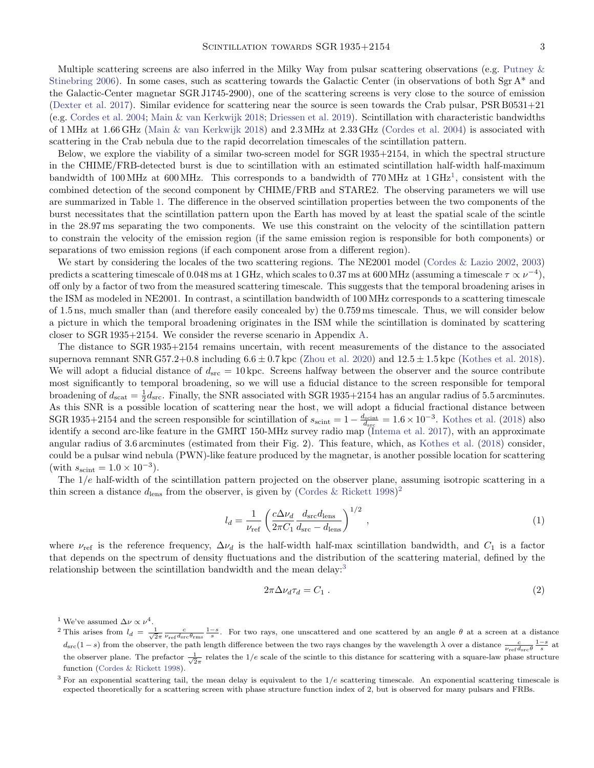Multiple scattering screens are also inferred in the Milky Way from pulsar scattering observations (e.g. [Putney &](#page-11-13) [Stinebring](#page-11-13) [2006\)](#page-11-13). In some cases, such as scattering towards the Galactic Center (in observations of both Sgr  $A^*$  and the Galactic-Center magnetar SGR J1745-2900), one of the scattering screens is very close to the source of emission [\(Dexter et al.](#page-10-12) [2017\)](#page-10-12). Similar evidence for scattering near the source is seen towards the Crab pulsar, PSR B0531+21 (e.g. [Cordes et al.](#page-10-13) [2004;](#page-10-13) [Main & van Kerkwijk](#page-10-14) [2018;](#page-10-14) [Driessen et al.](#page-10-15) [2019\)](#page-10-15). Scintillation with characteristic bandwidths of 1 MHz at 1.66 GHz [\(Main & van Kerkwijk](#page-10-14) [2018\)](#page-10-14) and 2.3 MHz at 2.33 GHz [\(Cordes et al.](#page-10-13) [2004\)](#page-10-13) is associated with scattering in the Crab nebula due to the rapid decorrelation timescales of the scintillation pattern.

Below, we explore the viability of a similar two-screen model for SGR 1935+2154, in which the spectral structure in the CHIME/FRB-detected burst is due to scintillation with an estimated scintillation half-width half-maximum bandwidth of [1](#page-2-0)00 MHz at 600 MHz. This corresponds to a bandwidth of 770 MHz at  $1 \text{ GHz}^1$ , consistent with the combined detection of the second component by CHIME/FRB and STARE2. The observing parameters we will use are summarized in Table [1.](#page-3-0) The difference in the observed scintillation properties between the two components of the burst necessitates that the scintillation pattern upon the Earth has moved by at least the spatial scale of the scintle in the 28.97 ms separating the two components. We use this constraint on the velocity of the scintillation pattern to constrain the velocity of the emission region (if the same emission region is responsible for both components) or separations of two emission regions (if each component arose from a different region).

We start by considering the locales of the two scattering regions. The NE2001 model [\(Cordes & Lazio](#page-10-16) [2002,](#page-10-16) [2003\)](#page-10-17) predicts a scattering timescale of 0.048 ms at 1 GHz, which scales to 0.37 ms at 600 MHz (assuming a timescale  $\tau \propto \nu^{-4}$ ), off only by a factor of two from the measured scattering timescale. This suggests that the temporal broadening arises in the ISM as modeled in NE2001. In contrast, a scintillation bandwidth of 100 MHz corresponds to a scattering timescale of 1.5 ns, much smaller than (and therefore easily concealed by) the 0.759 ms timescale. Thus, we will consider below a picture in which the temporal broadening originates in the ISM while the scintillation is dominated by scattering closer to SGR 1935+2154. We consider the reverse scenario in Appendix [A.](#page-9-0)

The distance to SGR 1935+2154 remains uncertain, with recent measurements of the distance to the associated supernova remnant SNR G57.2+0.8 including  $6.6 \pm 0.7$  kpc [\(Zhou et al.](#page-11-14) [2020\)](#page-11-14) and  $12.5 \pm 1.5$  kpc [\(Kothes et al.](#page-10-18) [2018\)](#page-10-18). We will adopt a fiducial distance of  $d_{src} = 10$  kpc. Screens halfway between the observer and the source contribute most significantly to temporal broadening, so we will use a fiducial distance to the screen responsible for temporal broadening of  $d_{\text{scat}} = \frac{1}{2} d_{\text{src}}$ . Finally, the SNR associated with SGR 1935+2154 has an angular radius of 5.5 arcminutes. As this SNR is a possible location of scattering near the host, we will adopt a fiducial fractional distance between SGR 1935+2154 and the screen responsible for scintillation of  $s_{\text{scint}} = 1 - \frac{d_{\text{scint}}}{d_{\text{src}}} = 1.6 \times 10^{-3}$ . [Kothes et al.](#page-10-18) [\(2018\)](#page-10-18) also identify a second arc-like feature in the GMRT 150-MHz survey radio map [\(Intema et al.](#page-10-19) [2017\)](#page-10-19), with an approximate angular radius of 3.6 arcminutes (estimated from their Fig. 2). This feature, which, as [Kothes et al.](#page-10-18) [\(2018\)](#page-10-18) consider, could be a pulsar wind nebula (PWN)-like feature produced by the magnetar, is another possible location for scattering (with  $s_{\text{scint}} = 1.0 \times 10^{-3}$ ).

The  $1/e$  half-width of the scintillation pattern projected on the observer plane, assuming isotropic scattering in a thin screen a distance  $d_{\text{lens}}$  from the observer, is given by [\(Cordes & Rickett](#page-10-20) [1998\)](#page-10-20)<sup>[2](#page-2-1)</sup>

$$
l_d = \frac{1}{\nu_{\rm ref}} \left( \frac{c\Delta\nu_d}{2\pi C_1} \frac{d_{\rm src}d_{\rm lens}}{d_{\rm src} - d_{\rm lens}} \right)^{1/2} , \qquad (1)
$$

where  $\nu_{\text{ref}}$  is the reference frequency,  $\Delta \nu_d$  is the half-width half-max scintillation bandwidth, and  $C_1$  is a factor that depends on the spectrum of density fluctuations and the distribution of the scattering material, defined by the relationship between the scintillation bandwidth and the mean delay:<sup>[3](#page-2-2)</sup>

<span id="page-2-4"></span><span id="page-2-3"></span>
$$
2\pi \Delta \nu_d \tau_d = C_1 \tag{2}
$$

<span id="page-2-0"></span><sup>1</sup> We've assumed  $\Delta \nu \propto \nu^4$ .

<span id="page-2-1"></span><sup>&</sup>lt;sup>2</sup> This arises from  $l_d = \frac{1}{\sqrt{2}\pi} \frac{c}{\nu_{\text{ref}} d_{\text{src}} \theta_{\text{rms}}} \frac{1-s}{s}$ . For two rays, one unscattered and one scattered by an angle  $\theta$  at a screen at a distance  $d_{\text{src}}(1-s)$  from the observer, the path length difference between the two rays changes by the wavelength  $\lambda$  over a distance  $\frac{c}{\nu_{\text{ref}}d_{\text{src}}\theta} \frac{1-s}{s}$  at the observer plane. The prefactor  $\frac{1}{\sqrt{2}\pi}$  relates the 1/e scale of the scintle to this distance for scattering with a square-law phase structure function [\(Cordes & Rickett](#page-10-20) [1998\)](#page-10-20).

<span id="page-2-2"></span> $3$  For an exponential scattering tail, the mean delay is equivalent to the  $1/e$  scattering timescale. An exponential scattering timescale is expected theoretically for a scattering screen with phase structure function index of 2, but is observed for many pulsars and FRBs.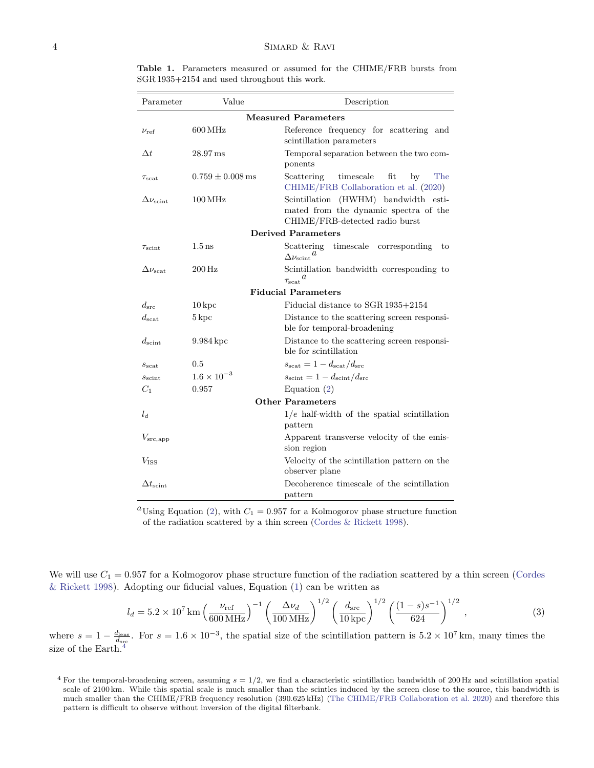| Parameter                  | Value                 | Description                                                                                                     |
|----------------------------|-----------------------|-----------------------------------------------------------------------------------------------------------------|
| <b>Measured Parameters</b> |                       |                                                                                                                 |
| $\nu_{\rm ref}$            | $600\,\mathrm{MHz}$   | Reference frequency for scattering and<br>scintillation parameters                                              |
| $\Delta t$                 | $28.97 \,\mathrm{ms}$ | Temporal separation between the two com-<br>ponents                                                             |
| $\tau_{\rm scat}$          | $0.759 \pm 0.008$ ms  | Scattering<br>timescale<br>fit<br>The<br>by<br>CHIME/FRB Collaboration et al. (2020)                            |
| $\Delta \nu_{\rm scint}$   | $100\,\mathrm{MHz}$   | Scintillation (HWHM) bandwidth esti-<br>mated from the dynamic spectra of the<br>CHIME/FRB-detected radio burst |
| <b>Derived Parameters</b>  |                       |                                                                                                                 |
| $\tau_{\rm scint}$         | $1.5 \,\mathrm{ns}$   | Scattering<br>timescale corresponding<br>to<br>$\Delta \nu_{\rm scint}{}^{a}$                                   |
| $\Delta \nu_{\rm scat}$    | $200$ Hz              | Scintillation bandwidth corresponding to<br>$\tau_{\rm scat}{}^{a}$                                             |
| <b>Fiducial Parameters</b> |                       |                                                                                                                 |
| $d_{src}$                  | $10\,\mathrm{kpc}$    | Fiducial distance to SGR 1935+2154                                                                              |
| $d_{\rm scat}$             | $5\,\mathrm{kpc}$     | Distance to the scattering screen responsi-<br>ble for temporal-broadening                                      |
| $d_{\text{scint}}$         | 9.984 kpc             | Distance to the scattering screen responsi-<br>ble for scintillation                                            |
| $s_{\rm scat}$             | 0.5                   | $s_{\text{scat}} = 1 - d_{\text{scat}}/d_{\text{src}}$                                                          |
| $s_{\text{scint}}$         | $1.6 \times 10^{-3}$  | $s_{\text{scint}} = 1 - d_{\text{scint}}/d_{\text{src}}$                                                        |
| $C_1$                      | 0.957                 | Equation $(2)$                                                                                                  |
| <b>Other Parameters</b>    |                       |                                                                                                                 |
| $l_d$                      |                       | $1/e$ half-width of the spatial scintillation<br>pattern                                                        |
| $V_{\rm src, app}$         |                       | Apparent transverse velocity of the emis-<br>sion region                                                        |
| $V$ <sub>iss</sub>         |                       | Velocity of the scintillation pattern on the<br>observer plane                                                  |
| $\Delta t_{\rm scint}$     |                       | Decoherence timescale of the scintillation<br>pattern                                                           |

<span id="page-3-0"></span>Table 1. Parameters measured or assumed for the CHIME/FRB bursts from SGR 1935+2154 and used throughout this work.

<sup>a</sup>Using Equation [\(2\)](#page-2-3), with  $C_1 = 0.957$  for a Kolmogorov phase structure function of the radiation scattered by a thin screen [\(Cordes & Rickett](#page-10-20) [1998\)](#page-10-20).

We will use  $C_1 = 0.957$  for a Kolmogorov phase structure function of the radiation scattered by a thin screen [\(Cordes](#page-10-20) [& Rickett](#page-10-20) [1998\)](#page-10-20). Adopting our fiducial values, Equation [\(1\)](#page-2-4) can be written as

$$
l_d = 5.2 \times 10^7 \,\mathrm{km} \left(\frac{\nu_{\mathrm{ref}}}{600 \,\mathrm{MHz}}\right)^{-1} \left(\frac{\Delta \nu_d}{100 \,\mathrm{MHz}}\right)^{1/2} \left(\frac{d_{\mathrm{src}}}{10 \,\mathrm{kpc}}\right)^{1/2} \left(\frac{(1-s)s^{-1}}{624}\right)^{1/2} ,\tag{3}
$$

where  $s = 1 - \frac{d_{\text{lens}}}{d_{\text{src}}}$ . For  $s = 1.6 \times 10^{-3}$ , the spatial size of the scintillation pattern is  $5.2 \times 10^7$  km, many times the size of the Earth.<sup>[4](#page-3-1)</sup>

<span id="page-3-1"></span><sup>&</sup>lt;sup>4</sup> For the temporal-broadening screen, assuming  $s = 1/2$ , we find a characteristic scintillation bandwidth of 200 Hz and scintillation spatial scale of 2100 km. While this spatial scale is much smaller than the scintles induced by the screen close to the source, this bandwidth is much smaller than the CHIME/FRB frequency resolution (390.625 kHz) [\(The CHIME/FRB Collaboration et al.](#page-11-0) [2020\)](#page-11-0) and therefore this pattern is difficult to observe without inversion of the digital filterbank.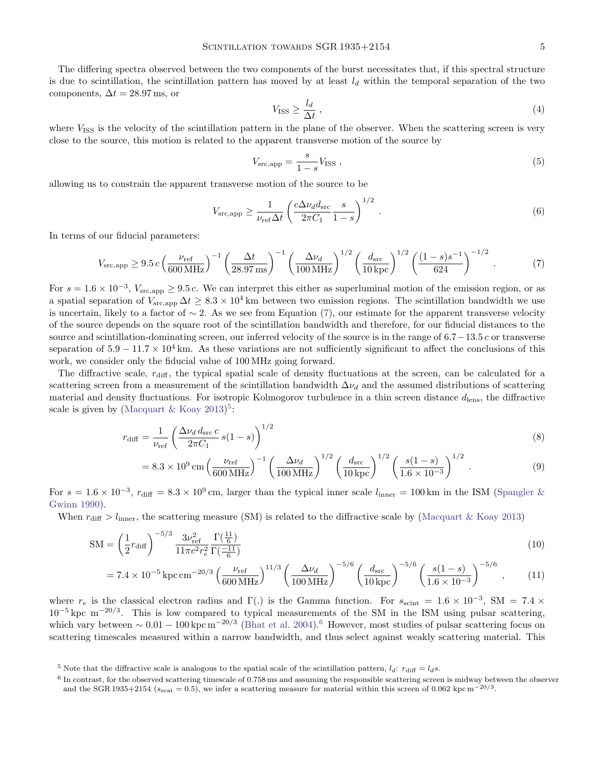The differing spectra observed between the two components of the burst necessitates that, if this spectral structure is due to scintillation, the scintillation pattern has moved by at least  $l_d$  within the temporal separation of the two components,  $\Delta t = 28.97$  ms, or

$$
V_{\rm ISS} \ge \frac{l_d}{\Delta t} \,,\tag{4}
$$

where  $V_{ISS}$  is the velocity of the scintillation pattern in the plane of the observer. When the scattering screen is very close to the source, this motion is related to the apparent transverse motion of the source by

$$
V_{\rm src, app} = \frac{s}{1 - s} V_{\rm ISS} \tag{5}
$$

allowing us to constrain the apparent transverse motion of the source to be

<span id="page-4-0"></span>
$$
V_{\rm src, app} \ge \frac{1}{\nu_{\rm ref} \Delta t} \left( \frac{c \Delta \nu_d d_{\rm src}}{2\pi C_1} \frac{s}{1-s} \right)^{1/2} . \tag{6}
$$

In terms of our fiducial parameters:

$$
V_{\rm src, app} \ge 9.5 c \left(\frac{\nu_{\rm ref}}{600 \, \rm MHz}\right)^{-1} \left(\frac{\Delta t}{28.97 \, \rm ms}\right)^{-1} \left(\frac{\Delta \nu_d}{100 \, \rm MHz}\right)^{1/2} \left(\frac{d_{\rm src}}{10 \, \rm kpc}\right)^{1/2} \left(\frac{(1-s)s^{-1}}{624}\right)^{-1/2} \,. \tag{7}
$$

For  $s = 1.6 \times 10^{-3}$ ,  $V_{\text{src,app}} \geq 9.5 c$ . We can interpret this either as superluminal motion of the emission region, or as a spatial separation of  $V_{\rm src, app} \Delta t \geq 8.3 \times 10^4$  km between two emission regions. The scintillation bandwidth we use is uncertain, likely to a factor of  $\sim$  2. As we see from Equation [\(7\)](#page-4-0), our estimate for the apparent transverse velocity of the source depends on the square root of the scintillation bandwidth and therefore, for our fiducial distances to the source and scintillation-dominating screen, our inferred velocity of the source is in the range of 6.7−13.5 c or transverse separation of  $5.9 - 11.7 \times 10^4$  km. As these variations are not sufficiently significant to affect the conclusions of this work, we consider only the fiducial value of 100 MHz going forward.

The diffractive scale,  $r_{\text{diff}}$ , the typical spatial scale of density fluctuations at the screen, can be calculated for a scattering screen from a measurement of the scintillation bandwidth  $\Delta v_d$  and the assumed distributions of scattering material and density fluctuations. For isotropic Kolmogorov turbulence in a thin screen distance  $d_{\text{lens}}$ , the diffractive scale is given by [\(Macquart & Koay](#page-10-21)  $2013$ <sup>[5](#page-4-1)</sup>:

$$
r_{\text{diff}} = \frac{1}{\nu_{\text{ref}}} \left( \frac{\Delta \nu_d d_{\text{src}} c}{2\pi C_1} s (1 - s) \right)^{1/2} \tag{8}
$$

$$
= 8.3 \times 10^9 \,\mathrm{cm} \left(\frac{\nu_{\mathrm{ref}}}{600 \,\mathrm{MHz}}\right)^{-1} \left(\frac{\Delta \nu_d}{100 \,\mathrm{MHz}}\right)^{1/2} \left(\frac{d_{\mathrm{src}}}{10 \,\mathrm{kpc}}\right)^{1/2} \left(\frac{s(1-s)}{1.6 \times 10^{-3}}\right)^{1/2} . \tag{9}
$$

For  $s = 1.6 \times 10^{-3}$ ,  $r_{\text{diff}} = 8.3 \times 10^{9}$  cm, larger than the typical inner scale  $l_{\text{inner}} = 100 \text{ km}$  in the ISM [\(Spangler &](#page-11-15) [Gwinn](#page-11-15) [1990\)](#page-11-15).

When  $r_{\text{diff}} > l_{\text{inner}}$ , the scattering measure (SM) is related to the diffractive scale by [\(Macquart & Koay](#page-10-21) [2013\)](#page-10-21)

$$
SM = \left(\frac{1}{2}r_{\text{diff}}\right)^{-5/3} \frac{3\nu_{\text{ref}}^2}{11\pi c^2 r_e^2} \frac{\Gamma(\frac{11}{6})}{\Gamma(\frac{-11}{6})} \tag{10}
$$

$$
= 7.4 \times 10^{-5} \,\text{kpc} \,\text{cm}^{-20/3} \left(\frac{\nu_{\text{ref}}}{600 \,\text{MHz}}\right)^{11/3} \left(\frac{\Delta \nu_d}{100 \,\text{MHz}}\right)^{-5/6} \left(\frac{d_{\text{src}}}{10 \,\text{kpc}}\right)^{-5/6} \left(\frac{s(1-s)}{1.6 \times 10^{-3}}\right)^{-5/6},\tag{11}
$$

where  $r_e$  is the classical electron radius and  $\Gamma(.)$  is the Gamma function. For  $s_{\text{scint}} = 1.6 \times 10^{-3}$ , SM = 7.4 ×  $10^{-5}$  kpc m<sup>-20/3</sup>. This is low compared to typical measurements of the SM in the ISM using pulsar scattering, which vary between  $\sim 0.01 - 100 \,\text{kpc} \,\text{m}^{-20/3}$  [\(Bhat et al.](#page-10-22) [2004\)](#page-10-22).<sup>[6](#page-4-2)</sup> However, most studies of pulsar scattering focus on scattering timescales measured within a narrow bandwidth, and thus select against weakly scattering material. This

<span id="page-4-1"></span><sup>&</sup>lt;sup>5</sup> Note that the diffractive scale is analogous to the spatial scale of the scintillation pattern,  $l_d$ :  $r_{\text{diff}} = l_d s$ .

<span id="page-4-2"></span><sup>&</sup>lt;sup>6</sup> In contrast, for the observed scattering timescale of 0.758 ms and assuming the responsible scattering screen is midway between the observer and the SGR 1935+2154 ( $s_{\text{scat}} = 0.5$ ), we infer a scattering measure for material within this screen of 0.062 kpc m<sup>-20/3</sup>.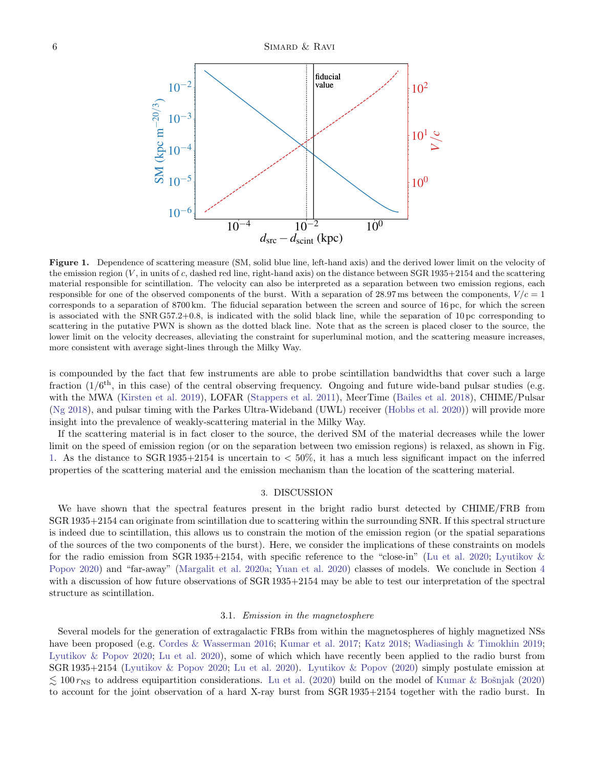

<span id="page-5-1"></span>Figure 1. Dependence of scattering measure (SM, solid blue line, left-hand axis) and the derived lower limit on the velocity of the emission region  $(V,$  in units of c, dashed red line, right-hand axis) on the distance between  $SGR 1935+2154$  and the scattering material responsible for scintillation. The velocity can also be interpreted as a separation between two emission regions, each responsible for one of the observed components of the burst. With a separation of 28.97 ms between the components,  $V/c = 1$ corresponds to a separation of 8700 km. The fiducial separation between the screen and source of 16 pc, for which the screen is associated with the SNR G57.2+0.8, is indicated with the solid black line, while the separation of 10 pc corresponding to scattering in the putative PWN is shown as the dotted black line. Note that as the screen is placed closer to the source, the lower limit on the velocity decreases, alleviating the constraint for superluminal motion, and the scattering measure increases, more consistent with average sight-lines through the Milky Way.

is compounded by the fact that few instruments are able to probe scintillation bandwidths that cover such a large fraction  $(1/6<sup>th</sup>$ , in this case) of the central observing frequency. Ongoing and future wide-band pulsar studies (e.g. with the MWA [\(Kirsten et al.](#page-10-23) [2019\)](#page-10-23), LOFAR [\(Stappers et al.](#page-11-16) [2011\)](#page-11-16), MeerTime [\(Bailes et al.](#page-10-24) [2018\)](#page-10-24), CHIME/Pulsar [\(Ng](#page-11-17) [2018\)](#page-11-17), and pulsar timing with the Parkes Ultra-Wideband (UWL) receiver [\(Hobbs et al.](#page-10-25) [2020\)](#page-10-25)) will provide more insight into the prevalence of weakly-scattering material in the Milky Way.

If the scattering material is in fact closer to the source, the derived SM of the material decreases while the lower limit on the speed of emission region (or on the separation between two emission regions) is relaxed, as shown in Fig. [1.](#page-5-1) As the distance to SGR 1935+2154 is uncertain to < 50%, it has a much less significant impact on the inferred properties of the scattering material and the emission mechanism than the location of the scattering material.

#### 3. DISCUSSION

<span id="page-5-0"></span>We have shown that the spectral features present in the bright radio burst detected by CHIME/FRB from SGR 1935+2154 can originate from scintillation due to scattering within the surrounding SNR. If this spectral structure is indeed due to scintillation, this allows us to constrain the motion of the emission region (or the spatial separations of the sources of the two components of the burst). Here, we consider the implications of these constraints on models for the radio emission from SGR 1935+2154, with specific reference to the "close-in" [\(Lu et al.](#page-10-0) [2020;](#page-10-0) [Lyutikov &](#page-10-1) [Popov](#page-10-1) [2020\)](#page-10-1) and "far-away" [\(Margalit et al.](#page-11-5) [2020a;](#page-11-5) [Yuan et al.](#page-11-6) [2020\)](#page-11-6) classes of models. We conclude in Section [4](#page-7-0) with a discussion of how future observations of SGR 1935+2154 may be able to test our interpretation of the spectral structure as scintillation.

#### 3.1. Emission in the magnetosphere

Several models for the generation of extragalactic FRBs from within the magnetospheres of highly magnetized NSs have been proposed (e.g. [Cordes & Wasserman](#page-10-26) [2016;](#page-10-26) [Kumar et al.](#page-10-27) [2017;](#page-10-27) [Katz](#page-10-28) [2018;](#page-10-28) [Wadiasingh & Timokhin](#page-11-18) [2019;](#page-11-18) [Lyutikov & Popov](#page-10-1) [2020;](#page-10-1) [Lu et al.](#page-10-0) [2020\)](#page-10-0), some of which which have recently been applied to the radio burst from SGR 1935+2154 [\(Lyutikov & Popov](#page-10-1) [2020;](#page-10-1) [Lu et al.](#page-10-0) [2020\)](#page-10-0). [Lyutikov & Popov](#page-10-1) [\(2020\)](#page-10-1) simply postulate emission at  $\lesssim 100 \, r_{\rm NS}$  to address equipartition considerations. [Lu et al.](#page-10-0) [\(2020\)](#page-10-29) build on the model of Kumar & Bošnjak (2020) to account for the joint observation of a hard X-ray burst from SGR 1935+2154 together with the radio burst. In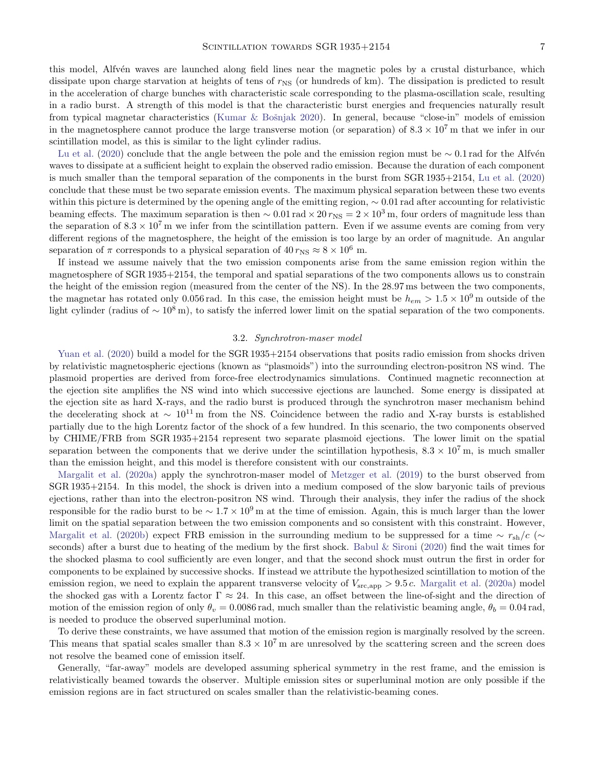this model, Alfvén waves are launched along field lines near the magnetic poles by a crustal disturbance, which dissipate upon charge starvation at heights of tens of  $r_{NS}$  (or hundreds of km). The dissipation is predicted to result in the acceleration of charge bunches with characteristic scale corresponding to the plasma-oscillation scale, resulting in a radio burst. A strength of this model is that the characteristic burst energies and frequencies naturally result from typical magnetar characteristics (Kumar & Bošnjak [2020\)](#page-10-29). In general, because "close-in" models of emission in the magnetosphere cannot produce the large transverse motion (or separation) of  $8.3 \times 10^7$  m that we infer in our scintillation model, as this is similar to the light cylinder radius.

[Lu et al.](#page-10-0) [\(2020\)](#page-10-0) conclude that the angle between the pole and the emission region must be ∼ 0.1 rad for the Alfvén waves to dissipate at a sufficient height to explain the observed radio emission. Because the duration of each component is much smaller than the temporal separation of the components in the burst from SGR 1935+2154, [Lu et al.](#page-10-0) [\(2020\)](#page-10-0) conclude that these must be two separate emission events. The maximum physical separation between these two events within this picture is determined by the opening angle of the emitting region,  $\sim 0.01$  rad after accounting for relativistic beaming effects. The maximum separation is then  $\sim 0.01 \text{ rad} \times 20 \text{ } r_{\text{NS}} = 2 \times 10^3 \text{ m}$ , four orders of magnitude less than the separation of  $8.3 \times 10^7$  m we infer from the scintillation pattern. Even if we assume events are coming from very different regions of the magnetosphere, the height of the emission is too large by an order of magnitude. An angular separation of  $\pi$  corresponds to a physical separation of  $40 \, r_{\rm NS} \approx 8 \times 10^6$  m.

If instead we assume naively that the two emission components arise from the same emission region within the magnetosphere of SGR 1935+2154, the temporal and spatial separations of the two components allows us to constrain the height of the emission region (measured from the center of the NS). In the 28.97 ms between the two components, the magnetar has rotated only 0.056 rad. In this case, the emission height must be  $h_{em} > 1.5 \times 10^9$  m outside of the light cylinder (radius of  $\sim 10^8$  m), to satisfy the inferred lower limit on the spatial separation of the two components.

#### 3.2. Synchrotron-maser model

[Yuan et al.](#page-11-6) [\(2020\)](#page-11-6) build a model for the SGR 1935+2154 observations that posits radio emission from shocks driven by relativistic magnetospheric ejections (known as "plasmoids") into the surrounding electron-positron NS wind. The plasmoid properties are derived from force-free electrodynamics simulations. Continued magnetic reconnection at the ejection site amplifies the NS wind into which successive ejections are launched. Some energy is dissipated at the ejection site as hard X-rays, and the radio burst is produced through the synchrotron maser mechanism behind the decelerating shock at  $\sim 10^{11}$  m from the NS. Coincidence between the radio and X-ray bursts is established partially due to the high Lorentz factor of the shock of a few hundred. In this scenario, the two components observed by CHIME/FRB from SGR 1935+2154 represent two separate plasmoid ejections. The lower limit on the spatial separation between the components that we derive under the scintillation hypothesis,  $8.3 \times 10^7$  m, is much smaller than the emission height, and this model is therefore consistent with our constraints.

[Margalit et al.](#page-11-5) [\(2020a\)](#page-11-5) apply the synchrotron-maser model of [Metzger et al.](#page-11-8) [\(2019\)](#page-11-8) to the burst observed from SGR 1935+2154. In this model, the shock is driven into a medium composed of the slow baryonic tails of previous ejections, rather than into the electron-positron NS wind. Through their analysis, they infer the radius of the shock responsible for the radio burst to be  $\sim 1.7 \times 10^9$  m at the time of emission. Again, this is much larger than the lower limit on the spatial separation between the two emission components and so consistent with this constraint. However, [Margalit et al.](#page-11-9) [\(2020b\)](#page-11-9) expect FRB emission in the surrounding medium to be suppressed for a time  $\sim r_{\rm sh}/c$  (∼ seconds) after a burst due to heating of the medium by the first shock. [Babul & Sironi](#page-9-1) [\(2020\)](#page-9-1) find the wait times for the shocked plasma to cool sufficiently are even longer, and that the second shock must outrun the first in order for components to be explained by successive shocks. If instead we attribute the hypothesized scintillation to motion of the emission region, we need to explain the apparent transverse velocity of  $V_{\rm src, app} > 9.5 c$ . [Margalit et al.](#page-11-5) [\(2020a\)](#page-11-5) model the shocked gas with a Lorentz factor  $\Gamma \approx 24$ . In this case, an offset between the line-of-sight and the direction of motion of the emission region of only  $\theta_v = 0.0086$  rad, much smaller than the relativistic beaming angle,  $\theta_b = 0.04$  rad, is needed to produce the observed superluminal motion.

To derive these constraints, we have assumed that motion of the emission region is marginally resolved by the screen. This means that spatial scales smaller than  $8.3 \times 10^7$  m are unresolved by the scattering screen and the screen does not resolve the beamed cone of emission itself.

Generally, "far-away" models are developed assuming spherical symmetry in the rest frame, and the emission is relativistically beamed towards the observer. Multiple emission sites or superluminal motion are only possible if the emission regions are in fact structured on scales smaller than the relativistic-beaming cones.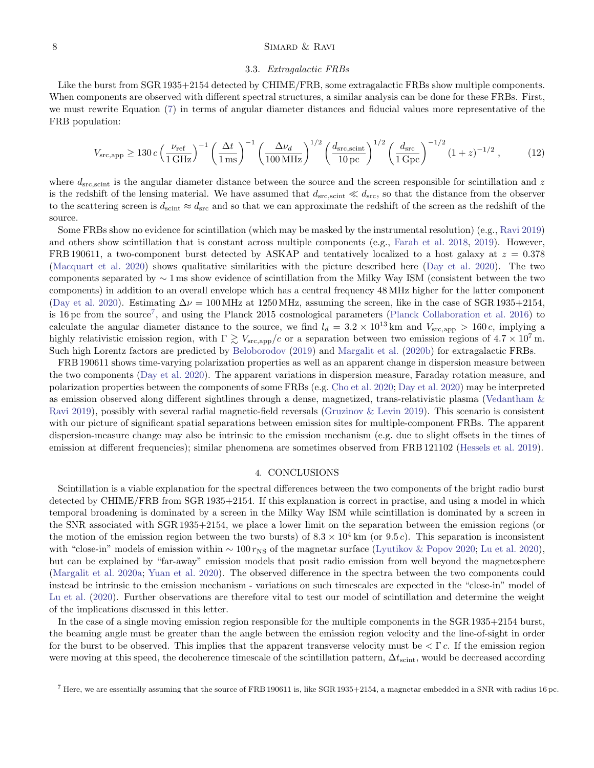### 8 SIMARD & RAVI

### 3.3. Extragalactic FRBs

Like the burst from SGR 1935+2154 detected by CHIME/FRB, some extragalactic FRBs show multiple components. When components are observed with different spectral structures, a similar analysis can be done for these FRBs. First, we must rewrite Equation [\(7\)](#page-4-0) in terms of angular diameter distances and fiducial values more representative of the FRB population:

$$
V_{\rm src, app} \ge 130 c \left(\frac{\nu_{\rm ref}}{1 \, \text{GHz}}\right)^{-1} \left(\frac{\Delta t}{1 \, \text{ms}}\right)^{-1} \left(\frac{\Delta \nu_d}{100 \, \text{MHz}}\right)^{1/2} \left(\frac{d_{\rm src, scint}}{10 \, \text{pc}}\right)^{1/2} \left(\frac{d_{\rm src}}{1 \, \text{Gpc}}\right)^{-1/2} (1+z)^{-1/2} \,,\tag{12}
$$

where  $d_{\rm src, scint}$  is the angular diameter distance between the source and the screen responsible for scintillation and z is the redshift of the lensing material. We have assumed that  $d_{src,scint} \ll d_{src}$ , so that the distance from the observer to the scattering screen is  $d_{\text{scint}} \approx d_{\text{src}}$  and so that we can approximate the redshift of the screen as the redshift of the source.

Some FRBs show no evidence for scintillation (which may be masked by the instrumental resolution) (e.g., [Ravi](#page-11-19) [2019\)](#page-11-19) and others show scintillation that is constant across multiple components (e.g., [Farah et al.](#page-10-8) [2018,](#page-10-8) [2019\)](#page-10-30). However, FRB 190611, a two-component burst detected by ASKAP and tentatively localized to a host galaxy at  $z = 0.378$ [\(Macquart et al.](#page-10-31) [2020\)](#page-10-31) shows qualitative similarities with the picture described here [\(Day et al.](#page-10-11) [2020\)](#page-10-11). The two components separated by ∼ 1 ms show evidence of scintillation from the Milky Way ISM (consistent between the two components) in addition to an overall envelope which has a central frequency 48 MHz higher for the latter component [\(Day et al.](#page-10-11) [2020\)](#page-10-11). Estimating  $\Delta \nu = 100 \text{ MHz}$  at 1250 MHz, assuming the screen, like in the case of SGR 1935+2154, is 16 pc from the source<sup>[7](#page-7-1)</sup>, and using the Planck 2015 cosmological parameters [\(Planck Collaboration et al.](#page-11-20) [2016\)](#page-11-20) to calculate the angular diameter distance to the source, we find  $l_d = 3.2 \times 10^{13}$  km and  $V_{\rm src, app} > 160 c$ , implying a highly relativistic emission region, with  $\Gamma \gtrsim V_{\rm src,app}/c$  or a separation between two emission regions of  $4.7 \times 10^7$  m. Such high Lorentz factors are predicted by [Beloborodov](#page-10-32) [\(2019\)](#page-10-32) and [Margalit et al.](#page-11-9) [\(2020b\)](#page-11-9) for extragalactic FRBs.

FRB 190611 shows time-varying polarization properties as well as an apparent change in dispersion measure between the two components [\(Day et al.](#page-10-11) [2020\)](#page-10-11). The apparent variations in dispersion measure, Faraday rotation measure, and polarization properties between the components of some FRBs (e.g. [Cho et al.](#page-10-33) [2020;](#page-10-33) [Day et al.](#page-10-11) [2020\)](#page-10-11) may be interpreted as emission observed along different sightlines through a dense, magnetized, trans-relativistic plasma [\(Vedantham &](#page-11-21) [Ravi](#page-11-21) [2019\)](#page-11-21), possibly with several radial magnetic-field reversals [\(Gruzinov & Levin](#page-10-34) [2019\)](#page-10-34). This scenario is consistent with our picture of significant spatial separations between emission sites for multiple-component FRBs. The apparent dispersion-measure change may also be intrinsic to the emission mechanism (e.g. due to slight offsets in the times of emission at different frequencies); similar phenomena are sometimes observed from FRB 121102 [\(Hessels et al.](#page-10-4) [2019\)](#page-10-4).

#### 4. CONCLUSIONS

<span id="page-7-0"></span>Scintillation is a viable explanation for the spectral differences between the two components of the bright radio burst detected by CHIME/FRB from SGR 1935+2154. If this explanation is correct in practise, and using a model in which temporal broadening is dominated by a screen in the Milky Way ISM while scintillation is dominated by a screen in the SNR associated with SGR 1935+2154, we place a lower limit on the separation between the emission regions (or the motion of the emission region between the two bursts) of  $8.3 \times 10^4$  km (or 9.5 c). This separation is inconsistent with "close-in" models of emission within  $\sim 100 \, r_{\rm NS}$  of the magnetar surface [\(Lyutikov & Popov](#page-10-1) [2020;](#page-10-1) [Lu et al.](#page-10-0) [2020\)](#page-10-0), but can be explained by "far-away" emission models that posit radio emission from well beyond the magnetosphere [\(Margalit et al.](#page-11-5) [2020a;](#page-11-5) [Yuan et al.](#page-11-6) [2020\)](#page-11-6). The observed difference in the spectra between the two components could instead be intrinsic to the emission mechanism - variations on such timescales are expected in the "close-in" model of [Lu et al.](#page-10-0) [\(2020\)](#page-10-0). Further observations are therefore vital to test our model of scintillation and determine the weight of the implications discussed in this letter.

In the case of a single moving emission region responsible for the multiple components in the SGR 1935+2154 burst, the beaming angle must be greater than the angle between the emission region velocity and the line-of-sight in order for the burst to be observed. This implies that the apparent transverse velocity must be  $\langle \Gamma c$ . If the emission region were moving at this speed, the decoherence timescale of the scintillation pattern,  $\Delta t_{\rm scint}$ , would be decreased according

<span id="page-7-1"></span><sup>7</sup> Here, we are essentially assuming that the source of FRB 190611 is, like SGR 1935+2154, a magnetar embedded in a SNR with radius 16 pc.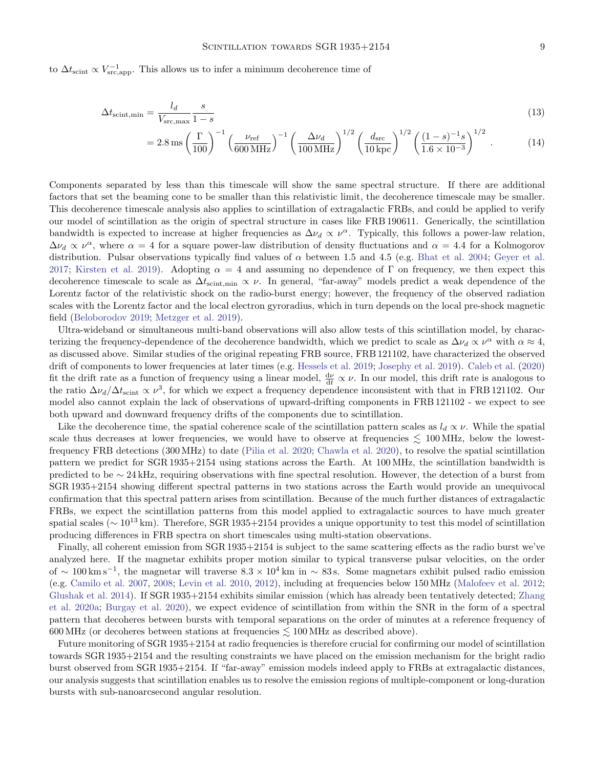to  $\Delta t_{\rm scint} \propto V_{\rm src, app}^{-1}$ . This allows us to infer a minimum decoherence time of

$$
\Delta t_{\text{scint,min}} = \frac{l_d}{V_{\text{src,max}}} \frac{s}{1-s} \tag{13}
$$

$$
=2.8\,\mathrm{ms}\left(\frac{\Gamma}{100}\right)^{-1}\left(\frac{\nu_{\mathrm{ref}}}{600\,\mathrm{MHz}}\right)^{-1}\left(\frac{\Delta\nu_{d}}{100\,\mathrm{MHz}}\right)^{1/2}\left(\frac{d_{\mathrm{src}}}{10\,\mathrm{kpc}}\right)^{1/2}\left(\frac{(1-s)^{-1}s}{1.6\times10^{-3}}\right)^{1/2}.\tag{14}
$$

Components separated by less than this timescale will show the same spectral structure. If there are additional factors that set the beaming cone to be smaller than this relativistic limit, the decoherence timescale may be smaller. This decoherence timescale analysis also applies to scintillation of extragalactic FRBs, and could be applied to verify our model of scintillation as the origin of spectral structure in cases like FRB 190611. Generically, the scintillation bandwidth is expected to increase at higher frequencies as  $\Delta \nu_d \propto \nu^{\alpha}$ . Typically, this follows a power-law relation,  $\Delta\nu_d \propto \nu^{\alpha}$ , where  $\alpha = 4$  for a square power-law distribution of density fluctuations and  $\alpha = 4.4$  for a Kolmogorov distribution. Pulsar observations typically find values of  $\alpha$  between 1.5 and 4.5 (e.g. [Bhat et al.](#page-10-22) [2004;](#page-10-22) [Geyer et al.](#page-10-35) [2017;](#page-10-35) [Kirsten et al.](#page-10-23) [2019\)](#page-10-23). Adopting  $\alpha = 4$  and assuming no dependence of Γ on frequency, we then expect this decoherence timescale to scale as  $\Delta t$ <sub>scint,min</sub>  $\propto \nu$ . In general, "far-away" models predict a weak dependence of the Lorentz factor of the relativistic shock on the radio-burst energy; however, the frequency of the observed radiation scales with the Lorentz factor and the local electron gyroradius, which in turn depends on the local pre-shock magnetic field [\(Beloborodov](#page-10-32) [2019;](#page-10-32) [Metzger et al.](#page-11-8) [2019\)](#page-11-8).

Ultra-wideband or simultaneous multi-band observations will also allow tests of this scintillation model, by characterizing the frequency-dependence of the decoherence bandwidth, which we predict to scale as  $\Delta\nu_d \propto \nu^{\alpha}$  with  $\alpha \approx 4$ , as discussed above. Similar studies of the original repeating FRB source, FRB 121102, have characterized the observed drift of components to lower frequencies at later times (e.g. [Hessels et al.](#page-10-4) [2019;](#page-10-4) [Josephy et al.](#page-10-36) [2019\)](#page-10-36). [Caleb et al.](#page-10-37) [\(2020\)](#page-10-37) fit the drift rate as a function of frequency using a linear model,  $\frac{d\nu}{dt} \propto \nu$ . In our model, this drift rate is analogous to the ratio  $\Delta\nu_d/\Delta t_{\rm scint} \propto \nu^3$ , for which we expect a frequency dependence inconsistent with that in FRB 121102. Our model also cannot explain the lack of observations of upward-drifting components in FRB 121102 - we expect to see both upward and downward frequency drifts of the components due to scintillation.

Like the decoherence time, the spatial coherence scale of the scintillation pattern scales as  $l_d \propto \nu$ . While the spatial scale thus decreases at lower frequencies, we would have to observe at frequencies  $\lesssim 100 \,\text{MHz}$ , below the lowestfrequency FRB detections (300 MHz) to date [\(Pilia et al.](#page-11-22) [2020;](#page-11-22) [Chawla et al.](#page-10-38) [2020\)](#page-10-38), to resolve the spatial scintillation pattern we predict for SGR 1935+2154 using stations across the Earth. At 100 MHz, the scintillation bandwidth is predicted to be ∼ 24 kHz, requiring observations with fine spectral resolution. However, the detection of a burst from SGR 1935+2154 showing different spectral patterns in two stations across the Earth would provide an unequivocal confirmation that this spectral pattern arises from scintillation. Because of the much further distances of extragalactic FRBs, we expect the scintillation patterns from this model applied to extragalactic sources to have much greater spatial scales ( $\sim 10^{13}$  km). Therefore, SGR 1935+2154 provides a unique opportunity to test this model of scintillation producing differences in FRB spectra on short timescales using multi-station observations.

Finally, all coherent emission from SGR 1935+2154 is subject to the same scattering effects as the radio burst we've analyzed here. If the magnetar exhibits proper motion similar to typical transverse pulsar velocities, on the order of ~ 100 km s<sup>-1</sup>, the magnetar will traverse  $8.3 \times 10^4$  km in ~ 83 s. Some magnetars exhibit pulsed radio emission (e.g. [Camilo et al.](#page-10-39) [2007,](#page-10-39) [2008;](#page-10-40) [Levin et al.](#page-10-41) [2010,](#page-10-41) [2012\)](#page-10-42), including at frequencies below 150 MHz [\(Malofeev et al.](#page-11-23) [2012;](#page-11-23) [Glushak et al.](#page-10-43) [2014\)](#page-10-43). If SGR 1935+2154 exhibits similar emission (which has already been tentatively detected; [Zhang](#page-11-7) [et al.](#page-11-7) [2020a;](#page-11-7) [Burgay et al.](#page-10-3) [2020\)](#page-10-3), we expect evidence of scintillation from within the SNR in the form of a spectral pattern that decoheres between bursts with temporal separations on the order of minutes at a reference frequency of 600 MHz (or decoheres between stations at frequencies  $\lesssim 100$  MHz as described above).

Future monitoring of SGR 1935+2154 at radio frequencies is therefore crucial for confirming our model of scintillation towards SGR 1935+2154 and the resulting constraints we have placed on the emission mechanism for the bright radio burst observed from SGR 1935+2154. If "far-away" emission models indeed apply to FRBs at extragalactic distances, our analysis suggests that scintillation enables us to resolve the emission regions of multiple-component or long-duration bursts with sub-nanoarcsecond angular resolution.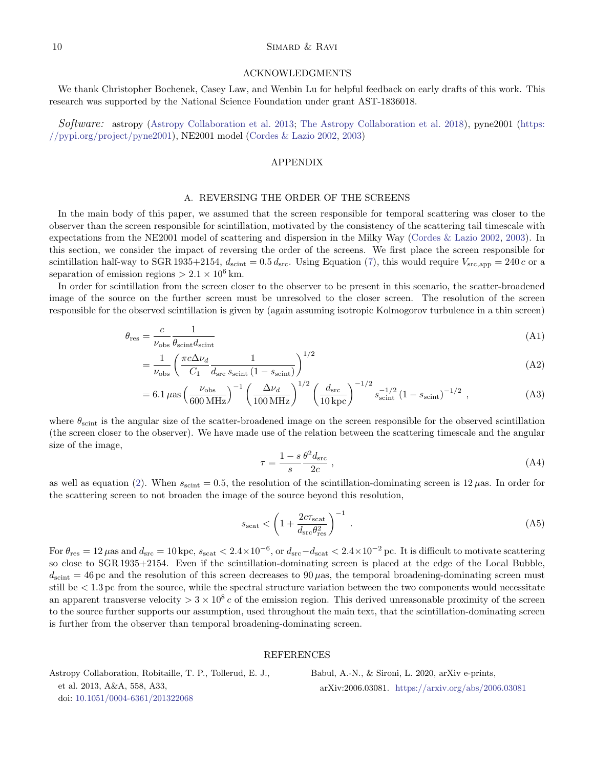### $10$  SIMARD & RAVI

#### ACKNOWLEDGMENTS

We thank Christopher Bochenek, Casey Law, and Wenbin Lu for helpful feedback on early drafts of this work. This research was supported by the National Science Foundation under grant AST-1836018.

Software: astropy [\(Astropy Collaboration et al.](#page-9-2) [2013;](#page-9-2) [The Astropy Collaboration et al.](#page-11-24) [2018\)](#page-11-24), pyne2001 [\(https:](https://pypi.org/project/pyne2001) [//pypi.org/project/pyne2001\)](https://pypi.org/project/pyne2001), NE2001 model [\(Cordes & Lazio](#page-10-16) [2002,](#page-10-16) [2003\)](#page-10-17)

### APPENDIX

## A. REVERSING THE ORDER OF THE SCREENS

<span id="page-9-0"></span>In the main body of this paper, we assumed that the screen responsible for temporal scattering was closer to the observer than the screen responsible for scintillation, motivated by the consistency of the scattering tail timescale with expectations from the NE2001 model of scattering and dispersion in the Milky Way [\(Cordes & Lazio](#page-10-16) [2002,](#page-10-16) [2003\)](#page-10-17). In this section, we consider the impact of reversing the order of the screens. We first place the screen responsible for scintillation half-way to SGR 1935+2154,  $d_{\text{scint}} = 0.5 d_{\text{src}}$ . Using Equation [\(7\)](#page-4-0), this would require  $V_{\text{src,app}} = 240 c$  or a separation of emission regions  $> 2.1 \times 10^6$  km.

In order for scintillation from the screen closer to the observer to be present in this scenario, the scatter-broadened image of the source on the further screen must be unresolved to the closer screen. The resolution of the screen responsible for the observed scintillation is given by (again assuming isotropic Kolmogorov turbulence in a thin screen)

$$
\theta_{\rm res} = \frac{c}{\nu_{\rm obs}} \frac{1}{\theta_{\rm scint} d_{\rm scint}} \tag{A1}
$$

$$
=\frac{1}{\nu_{\rm obs}} \left(\frac{\pi c \Delta \nu_d}{C_1} \frac{1}{d_{\rm src} s_{\rm scint} (1 - s_{\rm scint})}\right)^{1/2} \tag{A2}
$$

$$
= 6.1 \,\mu\text{as} \left(\frac{\nu_{\text{obs}}}{600 \,\text{MHz}}\right)^{-1} \left(\frac{\Delta \nu_d}{100 \,\text{MHz}}\right)^{1/2} \left(\frac{d_{\text{src}}}{10 \,\text{kpc}}\right)^{-1/2} s_{\text{scint}}^{-1/2} \left(1 - s_{\text{scint}}\right)^{-1/2} ,\tag{A3}
$$

where  $\theta_{\text{scint}}$  is the angular size of the scatter-broadened image on the screen responsible for the observed scintillation (the screen closer to the observer). We have made use of the relation between the scattering timescale and the angular size of the image,

$$
\tau = \frac{1 - s}{s} \frac{\theta^2 d_{\rm src}}{2c} \,,\tag{A4}
$$

as well as equation [\(2\)](#page-2-3). When  $s_{\text{scint}} = 0.5$ , the resolution of the scintillation-dominating screen is  $12 \mu$ as. In order for the scattering screen to not broaden the image of the source beyond this resolution,

$$
s_{\text{scat}} < \left(1 + \frac{2c\tau_{\text{scat}}}{d_{\text{src}}\theta_{\text{res}}^2}\right)^{-1} \tag{A5}
$$

For  $\theta_{\rm res} = 12 \,\mu$  as and  $d_{\rm src} = 10 \,\rm kpc$ ,  $s_{\rm scat} < 2.4 \times 10^{-6}$ , or  $d_{\rm src} - d_{\rm scat} < 2.4 \times 10^{-2} \,\rm pc$ . It is difficult to motivate scattering so close to SGR 1935+2154. Even if the scintillation-dominating screen is placed at the edge of the Local Bubble,  $d_{\text{scint}} = 46 \,\text{pc}$  and the resolution of this screen decreases to 90  $\mu$ as, the temporal broadening-dominating screen must still be < 1.3 pc from the source, while the spectral structure variation between the two components would necessitate an apparent transverse velocity  $> 3 \times 10^8 c$  of the emission region. This derived unreasonable proximity of the screen to the source further supports our assumption, used throughout the main text, that the scintillation-dominating screen is further from the observer than temporal broadening-dominating screen.

#### REFERENCES

<span id="page-9-2"></span>Astropy Collaboration, Robitaille, T. P., Tollerud, E. J., et al. 2013, A&A, 558, A33, doi: [10.1051/0004-6361/201322068](http://doi.org/10.1051/0004-6361/201322068)

<span id="page-9-1"></span>Babul, A.-N., & Sironi, L. 2020, arXiv e-prints, arXiv:2006.03081. <https://arxiv.org/abs/2006.03081>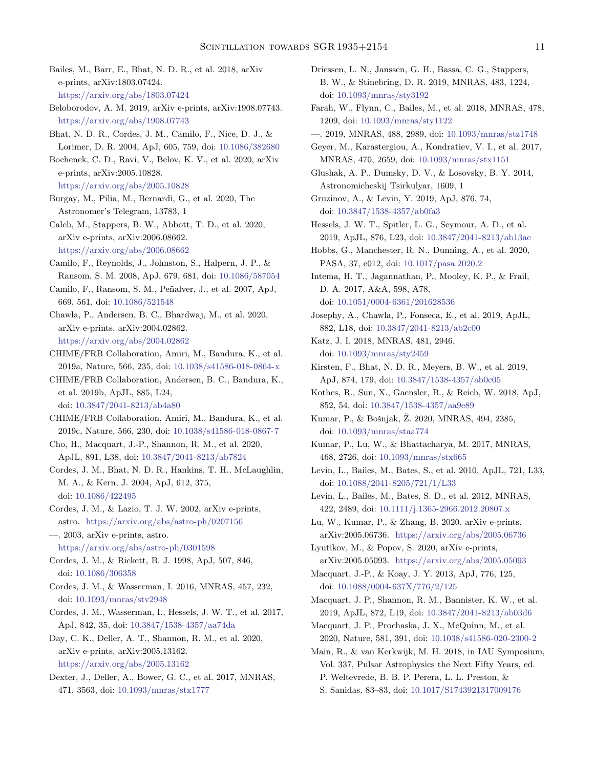- <span id="page-10-24"></span>Bailes, M., Barr, E., Bhat, N. D. R., et al. 2018, arXiv e-prints, arXiv:1803.07424. <https://arxiv.org/abs/1803.07424>
- <span id="page-10-32"></span>Beloborodov, A. M. 2019, arXiv e-prints, arXiv:1908.07743. <https://arxiv.org/abs/1908.07743>
- <span id="page-10-22"></span>Bhat, N. D. R., Cordes, J. M., Camilo, F., Nice, D. J., & Lorimer, D. R. 2004, ApJ, 605, 759, doi: [10.1086/382680](http://doi.org/10.1086/382680)
- <span id="page-10-2"></span>Bochenek, C. D., Ravi, V., Belov, K. V., et al. 2020, arXiv e-prints, arXiv:2005.10828.

<https://arxiv.org/abs/2005.10828>

- <span id="page-10-3"></span>Burgay, M., Pilia, M., Bernardi, G., et al. 2020, The Astronomer's Telegram, 13783, 1
- <span id="page-10-37"></span>Caleb, M., Stappers, B. W., Abbott, T. D., et al. 2020, arXiv e-prints, arXiv:2006.08662. <https://arxiv.org/abs/2006.08662>
- <span id="page-10-40"></span>Camilo, F., Reynolds, J., Johnston, S., Halpern, J. P., & Ransom, S. M. 2008, ApJ, 679, 681, doi: [10.1086/587054](http://doi.org/10.1086/587054)
- <span id="page-10-39"></span>Camilo, F., Ransom, S. M., Peñalver, J., et al. 2007, ApJ, 669, 561, doi: [10.1086/521548](http://doi.org/10.1086/521548)
- <span id="page-10-38"></span>Chawla, P., Andersen, B. C., Bhardwaj, M., et al. 2020, arXiv e-prints, arXiv:2004.02862. <https://arxiv.org/abs/2004.02862>
- <span id="page-10-5"></span>CHIME/FRB Collaboration, Amiri, M., Bandura, K., et al. 2019a, Nature, 566, 235, doi: [10.1038/s41586-018-0864-x](http://doi.org/10.1038/s41586-018-0864-x)
- <span id="page-10-6"></span>CHIME/FRB Collaboration, Andersen, B. C., Bandura, K., et al. 2019b, ApJL, 885, L24, doi: [10.3847/2041-8213/ab4a80](http://doi.org/10.3847/2041-8213/ab4a80)
- <span id="page-10-9"></span>CHIME/FRB Collaboration, Amiri, M., Bandura, K., et al. 2019c, Nature, 566, 230, doi: [10.1038/s41586-018-0867-7](http://doi.org/10.1038/s41586-018-0867-7)
- <span id="page-10-33"></span>Cho, H., Macquart, J.-P., Shannon, R. M., et al. 2020, ApJL, 891, L38, doi: [10.3847/2041-8213/ab7824](http://doi.org/10.3847/2041-8213/ab7824)
- <span id="page-10-13"></span>Cordes, J. M., Bhat, N. D. R., Hankins, T. H., McLaughlin, M. A., & Kern, J. 2004, ApJ, 612, 375, doi: [10.1086/422495](http://doi.org/10.1086/422495)
- <span id="page-10-16"></span>Cordes, J. M., & Lazio, T. J. W. 2002, arXiv e-prints, astro. <https://arxiv.org/abs/astro-ph/0207156>
- <span id="page-10-17"></span>—. 2003, arXiv e-prints, astro. <https://arxiv.org/abs/astro-ph/0301598>
- <span id="page-10-20"></span>Cordes, J. M., & Rickett, B. J. 1998, ApJ, 507, 846, doi: [10.1086/306358](http://doi.org/10.1086/306358)
- <span id="page-10-26"></span>Cordes, J. M., & Wasserman, I. 2016, MNRAS, 457, 232, doi: [10.1093/mnras/stv2948](http://doi.org/10.1093/mnras/stv2948)
- <span id="page-10-7"></span>Cordes, J. M., Wasserman, I., Hessels, J. W. T., et al. 2017, ApJ, 842, 35, doi: [10.3847/1538-4357/aa74da](http://doi.org/10.3847/1538-4357/aa74da)
- <span id="page-10-11"></span>Day, C. K., Deller, A. T., Shannon, R. M., et al. 2020, arXiv e-prints, arXiv:2005.13162. <https://arxiv.org/abs/2005.13162>
- <span id="page-10-12"></span>Dexter, J., Deller, A., Bower, G. C., et al. 2017, MNRAS, 471, 3563, doi: [10.1093/mnras/stx1777](http://doi.org/10.1093/mnras/stx1777)
- <span id="page-10-15"></span>Driessen, L. N., Janssen, G. H., Bassa, C. G., Stappers, B. W., & Stinebring, D. R. 2019, MNRAS, 483, 1224, doi: [10.1093/mnras/sty3192](http://doi.org/10.1093/mnras/sty3192)
- <span id="page-10-8"></span>Farah, W., Flynn, C., Bailes, M., et al. 2018, MNRAS, 478, 1209, doi: [10.1093/mnras/sty1122](http://doi.org/10.1093/mnras/sty1122)
- <span id="page-10-30"></span>—. 2019, MNRAS, 488, 2989, doi: [10.1093/mnras/stz1748](http://doi.org/10.1093/mnras/stz1748)
- <span id="page-10-35"></span>Geyer, M., Karastergiou, A., Kondratiev, V. I., et al. 2017, MNRAS, 470, 2659, doi: [10.1093/mnras/stx1151](http://doi.org/10.1093/mnras/stx1151)
- <span id="page-10-43"></span>Glushak, A. P., Dumsky, D. V., & Losovsky, B. Y. 2014, Astronomicheskij Tsirkulyar, 1609, 1
- <span id="page-10-34"></span>Gruzinov, A., & Levin, Y. 2019, ApJ, 876, 74, doi: [10.3847/1538-4357/ab0fa3](http://doi.org/10.3847/1538-4357/ab0fa3)
- <span id="page-10-4"></span>Hessels, J. W. T., Spitler, L. G., Seymour, A. D., et al. 2019, ApJL, 876, L23, doi: [10.3847/2041-8213/ab13ae](http://doi.org/10.3847/2041-8213/ab13ae)
- <span id="page-10-25"></span>Hobbs, G., Manchester, R. N., Dunning, A., et al. 2020, PASA, 37, e012, doi: [10.1017/pasa.2020.2](http://doi.org/10.1017/pasa.2020.2)
- <span id="page-10-19"></span>Intema, H. T., Jagannathan, P., Mooley, K. P., & Frail, D. A. 2017, A&A, 598, A78, doi: [10.1051/0004-6361/201628536](http://doi.org/10.1051/0004-6361/201628536)
- <span id="page-10-36"></span>Josephy, A., Chawla, P., Fonseca, E., et al. 2019, ApJL, 882, L18, doi: [10.3847/2041-8213/ab2c00](http://doi.org/10.3847/2041-8213/ab2c00)
- <span id="page-10-28"></span>Katz, J. I. 2018, MNRAS, 481, 2946, doi: [10.1093/mnras/sty2459](http://doi.org/10.1093/mnras/sty2459)
- <span id="page-10-23"></span>Kirsten, F., Bhat, N. D. R., Meyers, B. W., et al. 2019, ApJ, 874, 179, doi: [10.3847/1538-4357/ab0c05](http://doi.org/10.3847/1538-4357/ab0c05)
- <span id="page-10-18"></span>Kothes, R., Sun, X., Gaensler, B., & Reich, W. 2018, ApJ, 852, 54, doi: [10.3847/1538-4357/aa9e89](http://doi.org/10.3847/1538-4357/aa9e89)
- <span id="page-10-29"></span>Kumar, P., & Bošnjak, Ž. 2020, MNRAS, 494, 2385, doi: [10.1093/mnras/staa774](http://doi.org/10.1093/mnras/staa774)
- <span id="page-10-27"></span>Kumar, P., Lu, W., & Bhattacharya, M. 2017, MNRAS, 468, 2726, doi: [10.1093/mnras/stx665](http://doi.org/10.1093/mnras/stx665)
- <span id="page-10-41"></span>Levin, L., Bailes, M., Bates, S., et al. 2010, ApJL, 721, L33, doi: [10.1088/2041-8205/721/1/L33](http://doi.org/10.1088/2041-8205/721/1/L33)
- <span id="page-10-42"></span>Levin, L., Bailes, M., Bates, S. D., et al. 2012, MNRAS, 422, 2489, doi: [10.1111/j.1365-2966.2012.20807.x](http://doi.org/10.1111/j.1365-2966.2012.20807.x)
- <span id="page-10-0"></span>Lu, W., Kumar, P., & Zhang, B. 2020, arXiv e-prints, arXiv:2005.06736. <https://arxiv.org/abs/2005.06736>
- <span id="page-10-1"></span>Lyutikov, M., & Popov, S. 2020, arXiv e-prints, arXiv:2005.05093. <https://arxiv.org/abs/2005.05093>

<span id="page-10-21"></span>Macquart, J.-P., & Koay, J. Y. 2013, ApJ, 776, 125, doi: [10.1088/0004-637X/776/2/125](http://doi.org/10.1088/0004-637X/776/2/125)

- <span id="page-10-10"></span>Macquart, J. P., Shannon, R. M., Bannister, K. W., et al. 2019, ApJL, 872, L19, doi: [10.3847/2041-8213/ab03d6](http://doi.org/10.3847/2041-8213/ab03d6)
- <span id="page-10-31"></span>Macquart, J. P., Prochaska, J. X., McQuinn, M., et al. 2020, Nature, 581, 391, doi: [10.1038/s41586-020-2300-2](http://doi.org/10.1038/s41586-020-2300-2)
- <span id="page-10-14"></span>Main, R., & van Kerkwijk, M. H. 2018, in IAU Symposium, Vol. 337, Pulsar Astrophysics the Next Fifty Years, ed. P. Weltevrede, B. B. P. Perera, L. L. Preston, &
	- S. Sanidas, 83–83, doi: [10.1017/S1743921317009176](http://doi.org/10.1017/S1743921317009176)